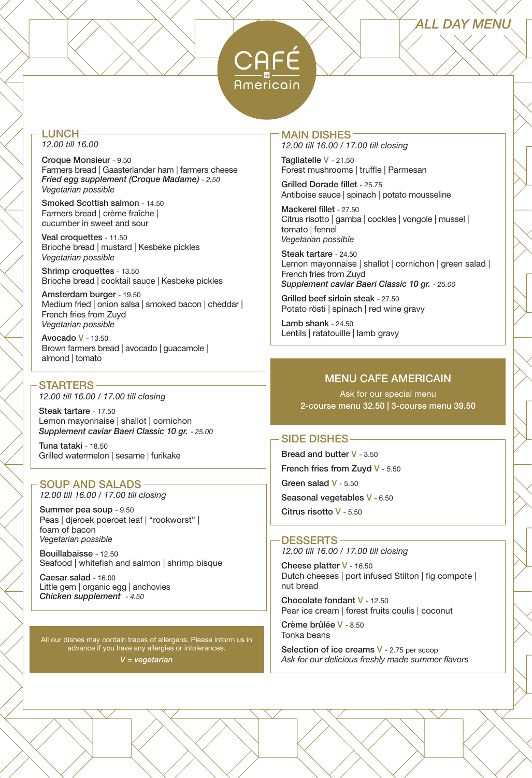# *ALL DAY MENU*



#### LUNCH *12.00 till 16.00*

Croque Monsieur - 9.50 Farmers bread | Gaasterlander ham | farmers cheese *Fried egg supplement (Croque Madame)* - *2.50 Vegetarian possible*

Smoked Scottish salmon - 14.50 Farmers bread | crème fraîche | cucumber in sweet and sour

Veal croquettes - 11.50 Brioche bread | mustard | Kesbeke pickles *Vegetarian possible*

Shrimp croquettes - 13.50 Brioche bread | cocktail sauce | Kesbeke pickles

Amsterdam burger - 19.50 Medium fried | onion salsa | smoked bacon | cheddar | French fries from Zuyd *Vegetarian possible*

Avocado V - 13.50 Brown farmers bread | avocado | guacamole | almond | tomato

## STARTERS

*12.00 till 16.00 / 17.00 till closing*

Steak tartare - 17.50 Lemon mayonnaise | shallot | cornichon *Supplement caviar Baeri Classic 10 gr.* - *25.00*

Tuna tataki - 18.50 Grilled watermelon | sesame | furikake

#### SOUP AND SALADS *12.00 till 16.00 / 17.00 till closing*

Summer pea soup - 9.50 Peas | djeroek poeroet leaf | "rookworst" |

foam of bacon *Vegetarian possible*

Bouillabaisse - 12.50 Seafood | whitefish and salmon | shrimp bisque

Caesar salad - 16.00 Little gem | organic egg | anchovies *Chicken supplement - 4.50*

All our dishes may contain traces of allergens. Please inform us in advance if you have any allergies or intolerances. *V = vegetarian*

## MAIN DISHES

*12.00 till 16.00 / 17.00 till closing*

Tagliatelle V - 21.50 Forest mushrooms | truffle | Parmesan

Grilled Dorade fillet - 25.75 Antiboise sauce | spinach | potato mousseline

Mackerel fillet - 27.50 Citrus risotto | gamba | cockles | vongole | mussel | tomato | fennel *Vegetarian possible*

Steak tartare - 24.50 Lemon mayonnaise | shallot | cornichon | green salad | French fries from Zuyd *Supplement caviar Baeri Classic 10 gr.* - *25.00*

Grilled beef sirloin steak - 27.50 Potato rösti | spinach | red wine gravy

Lamb shank - 24.50 Lentils | ratatouille | lamb gravy

# MENU CAFE AMERICAIN

Ask for our special menu 2-course menu 32.50 | 3-course menu 39.50

#### SIDE DISHES

Bread and butter V - 3.50 French fries from Zuyd V - 5.50 Green salad V - 5.50 Seasonal vegetables V - 6.50 Citrus risotto V - 5.50

#### DESSERTS

*12.00 till 16.00 / 17.00 till closing*

Cheese platter V - 16.50 Dutch cheeses | port infused Stilton | fig compote | nut bread

Chocolate fondant V - 12.50 Pear ice cream | forest fruits coulis | coconut

Crème brûlée V - 8.50 Tonka beans

Selection of ice creams V - 2.75 per scoop *Ask for our delicious freshly made summer flavors*